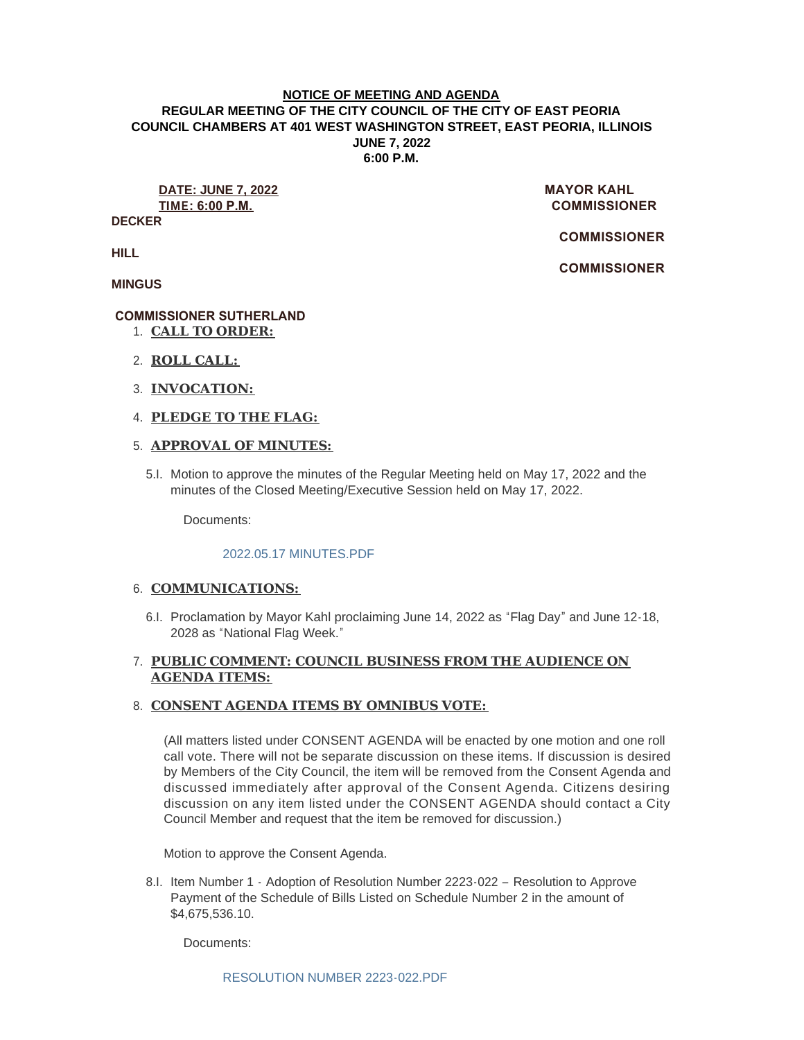### **NOTICE OF MEETING AND AGENDA REGULAR MEETING OF THE CITY COUNCIL OF THE CITY OF EAST PEORIA COUNCIL CHAMBERS AT 401 WEST WASHINGTON STREET, EAST PEORIA, ILLINOIS JUNE 7, 2022 6:00 P.M.**

**DATE: JUNE 7, 2022** MAYOR KAHL **TIME: 6:00 P.M. COMMISSIONER** 

**DECKER**

 **COMMISSIONER** 

 **COMMISSIONER** 

**HILL**

**MINGUS**

# **COMMISSIONER SUTHERLAND**

- **CALL TO ORDER:** 1.
- **ROLL CALL:** 2.
- **INVOCATION:** 3.
- **PLEDGE TO THE FLAG:** 4.

## **APPROVAL OF MINUTES:** 5.

5.I. Motion to approve the minutes of the Regular Meeting held on May 17, 2022 and the minutes of the Closed Meeting/Executive Session held on May 17, 2022.

Documents:

## [2022.05.17 MINUTES.PDF](https://www.cityofeastpeoria.com/AgendaCenter/ViewFile/Item/4448?fileID=29835)

## 6. COMMUNICATIONS:

6.I. Proclamation by Mayor Kahl proclaiming June 14, 2022 as "Flag Day" and June 12-18, 2028 as "National Flag Week."

# **PUBLIC COMMENT: COUNCIL BUSINESS FROM THE AUDIENCE ON**  7. **AGENDA ITEMS:**

## **CONSENT AGENDA ITEMS BY OMNIBUS VOTE:**  8.

(All matters listed under CONSENT AGENDA will be enacted by one motion and one roll call vote. There will not be separate discussion on these items. If discussion is desired by Members of the City Council, the item will be removed from the Consent Agenda and discussed immediately after approval of the Consent Agenda. Citizens desiring discussion on any item listed under the CONSENT AGENDA should contact a City Council Member and request that the item be removed for discussion.)

Motion to approve the Consent Agenda.

8.I. Item Number 1 - Adoption of Resolution Number 2223-022 - Resolution to Approve Payment of the Schedule of Bills Listed on Schedule Number 2 in the amount of \$4,675,536.10.

Documents: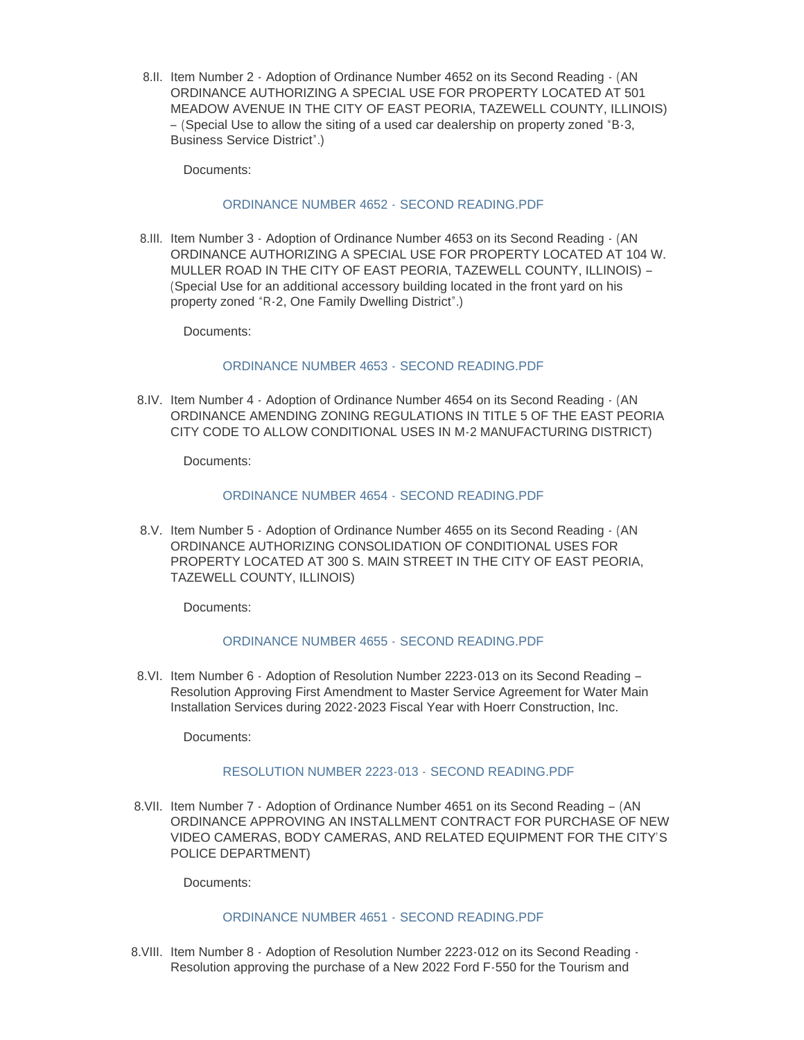8.II. Item Number 2 - Adoption of Ordinance Number 4652 on its Second Reading - (AN ORDINANCE AUTHORIZING A SPECIAL USE FOR PROPERTY LOCATED AT 501 MEADOW AVENUE IN THE CITY OF EAST PEORIA, TAZEWELL COUNTY, ILLINOIS) – (Special Use to allow the siting of a used car dealership on property zoned "B-3, Business Service District".)

Documents:

## [ORDINANCE NUMBER 4652 -](https://www.cityofeastpeoria.com/AgendaCenter/ViewFile/Item/4451?fileID=29837) SECOND READING.PDF

8.III. Item Number 3 - Adoption of Ordinance Number 4653 on its Second Reading - (AN ORDINANCE AUTHORIZING A SPECIAL USE FOR PROPERTY LOCATED AT 104 W. MULLER ROAD IN THE CITY OF EAST PEORIA, TAZEWELL COUNTY, ILLINOIS) – (Special Use for an additional accessory building located in the front yard on his property zoned "R-2, One Family Dwelling District".)

Documents:

### [ORDINANCE NUMBER 4653 -](https://www.cityofeastpeoria.com/AgendaCenter/ViewFile/Item/4452?fileID=29838) SECOND READING.PDF

8.IV. Item Number 4 - Adoption of Ordinance Number 4654 on its Second Reading - (AN ORDINANCE AMENDING ZONING REGULATIONS IN TITLE 5 OF THE EAST PEORIA CITY CODE TO ALLOW CONDITIONAL USES IN M-2 MANUFACTURING DISTRICT)

Documents:

### [ORDINANCE NUMBER 4654 -](https://www.cityofeastpeoria.com/AgendaCenter/ViewFile/Item/4453?fileID=29839) SECOND READING.PDF

8.V. Item Number 5 - Adoption of Ordinance Number 4655 on its Second Reading - (AN ORDINANCE AUTHORIZING CONSOLIDATION OF CONDITIONAL USES FOR PROPERTY LOCATED AT 300 S. MAIN STREET IN THE CITY OF EAST PEORIA, TAZEWELL COUNTY, ILLINOIS)

Documents:

## [ORDINANCE NUMBER 4655 -](https://www.cityofeastpeoria.com/AgendaCenter/ViewFile/Item/4454?fileID=29840) SECOND READING.PDF

8.VI. Item Number 6 - Adoption of Resolution Number 2223-013 on its Second Reading -Resolution Approving First Amendment to Master Service Agreement for Water Main Installation Services during 2022-2023 Fiscal Year with Hoerr Construction, Inc.

Documents:

#### [RESOLUTION NUMBER 2223-013 -](https://www.cityofeastpeoria.com/AgendaCenter/ViewFile/Item/4455?fileID=29841) SECOND READING.PDF

8.VII. Item Number 7 - Adoption of Ordinance Number 4651 on its Second Reading - (AN ORDINANCE APPROVING AN INSTALLMENT CONTRACT FOR PURCHASE OF NEW VIDEO CAMERAS, BODY CAMERAS, AND RELATED EQUIPMENT FOR THE CITY'S POLICE DEPARTMENT)

Documents:

# [ORDINANCE NUMBER 4651 -](https://www.cityofeastpeoria.com/AgendaCenter/ViewFile/Item/4456?fileID=29842) SECOND READING.PDF

8. VIII. Item Number 8 - Adoption of Resolution Number 2223-012 on its Second Reading -Resolution approving the purchase of a New 2022 Ford F-550 for the Tourism and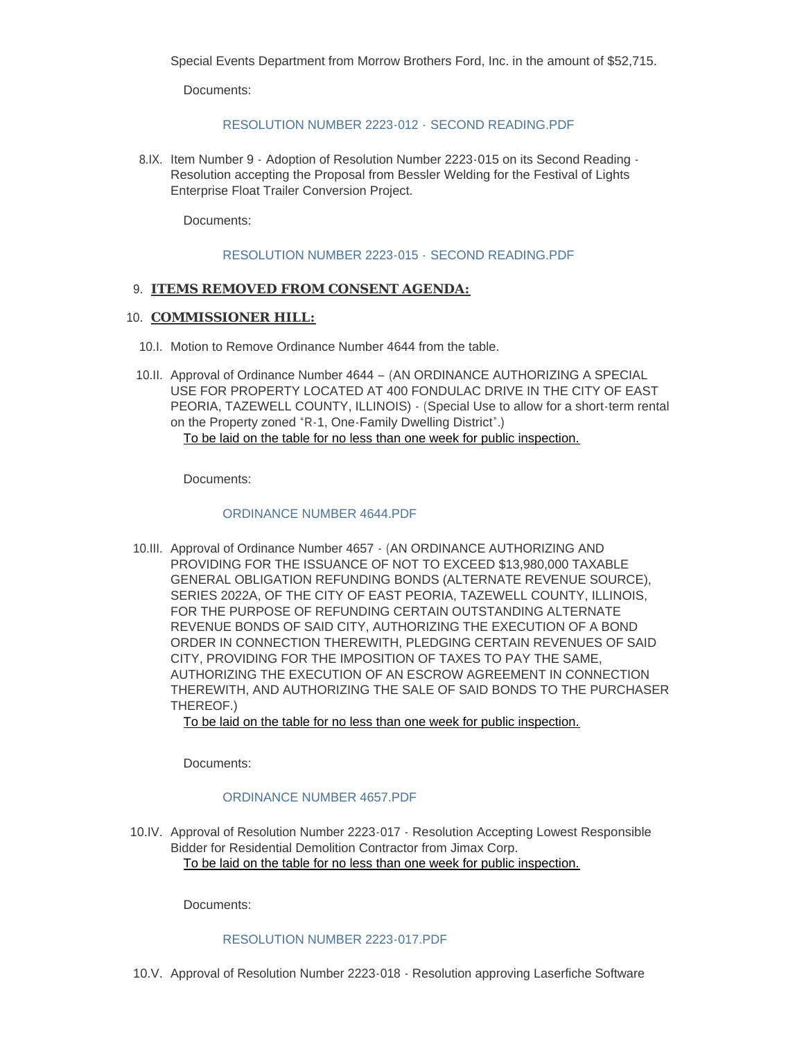Special Events Department from Morrow Brothers Ford, Inc. in the amount of \$52,715.

Documents:

### [RESOLUTION NUMBER 2223-012 -](https://www.cityofeastpeoria.com/AgendaCenter/ViewFile/Item/4457?fileID=29843) SECOND READING.PDF

8.IX. Item Number 9 - Adoption of Resolution Number 2223-015 on its Second Reading -Resolution accepting the Proposal from Bessler Welding for the Festival of Lights Enterprise Float Trailer Conversion Project.

Documents:

#### [RESOLUTION NUMBER 2223-015 -](https://www.cityofeastpeoria.com/AgendaCenter/ViewFile/Item/4458?fileID=29844) SECOND READING.PDF

## **ITEMS REMOVED FROM CONSENT AGENDA:** 9.

### 10. **COMMISSIONER HILL:**

- 10.I. Motion to Remove Ordinance Number 4644 from the table.
- 10.II. Approval of Ordinance Number 4644 (AN ORDINANCE AUTHORIZING A SPECIAL USE FOR PROPERTY LOCATED AT 400 FONDULAC DRIVE IN THE CITY OF EAST PEORIA, TAZEWELL COUNTY, ILLINOIS) - (Special Use to allow for a short-term rental on the Property zoned "R-1, One-Family Dwelling District".) To be laid on the table for no less than one week for public inspection.

Documents:

### [ORDINANCE NUMBER 4644.PDF](https://www.cityofeastpeoria.com/AgendaCenter/ViewFile/Item/4460?fileID=29845)

10.III. Approval of Ordinance Number 4657 - (AN ORDINANCE AUTHORIZING AND PROVIDING FOR THE ISSUANCE OF NOT TO EXCEED \$13,980,000 TAXABLE GENERAL OBLIGATION REFUNDING BONDS (ALTERNATE REVENUE SOURCE), SERIES 2022A, OF THE CITY OF EAST PEORIA, TAZEWELL COUNTY, ILLINOIS, FOR THE PURPOSE OF REFUNDING CERTAIN OUTSTANDING ALTERNATE REVENUE BONDS OF SAID CITY, AUTHORIZING THE EXECUTION OF A BOND ORDER IN CONNECTION THEREWITH, PLEDGING CERTAIN REVENUES OF SAID CITY, PROVIDING FOR THE IMPOSITION OF TAXES TO PAY THE SAME, AUTHORIZING THE EXECUTION OF AN ESCROW AGREEMENT IN CONNECTION THEREWITH, AND AUTHORIZING THE SALE OF SAID BONDS TO THE PURCHASER THEREOF.)

To be laid on the table for no less than one week for public inspection.

Documents:

## [ORDINANCE NUMBER 4657.PDF](https://www.cityofeastpeoria.com/AgendaCenter/ViewFile/Item/4461?fileID=29846)

10.IV. Approval of Resolution Number 2223-017 - Resolution Accepting Lowest Responsible Bidder for Residential Demolition Contractor from Jimax Corp. To be laid on the table for no less than one week for public inspection.

Documents:

## [RESOLUTION NUMBER 2223-017.PDF](https://www.cityofeastpeoria.com/AgendaCenter/ViewFile/Item/4462?fileID=29847)

10.V. Approval of Resolution Number 2223-018 - Resolution approving Laserfiche Software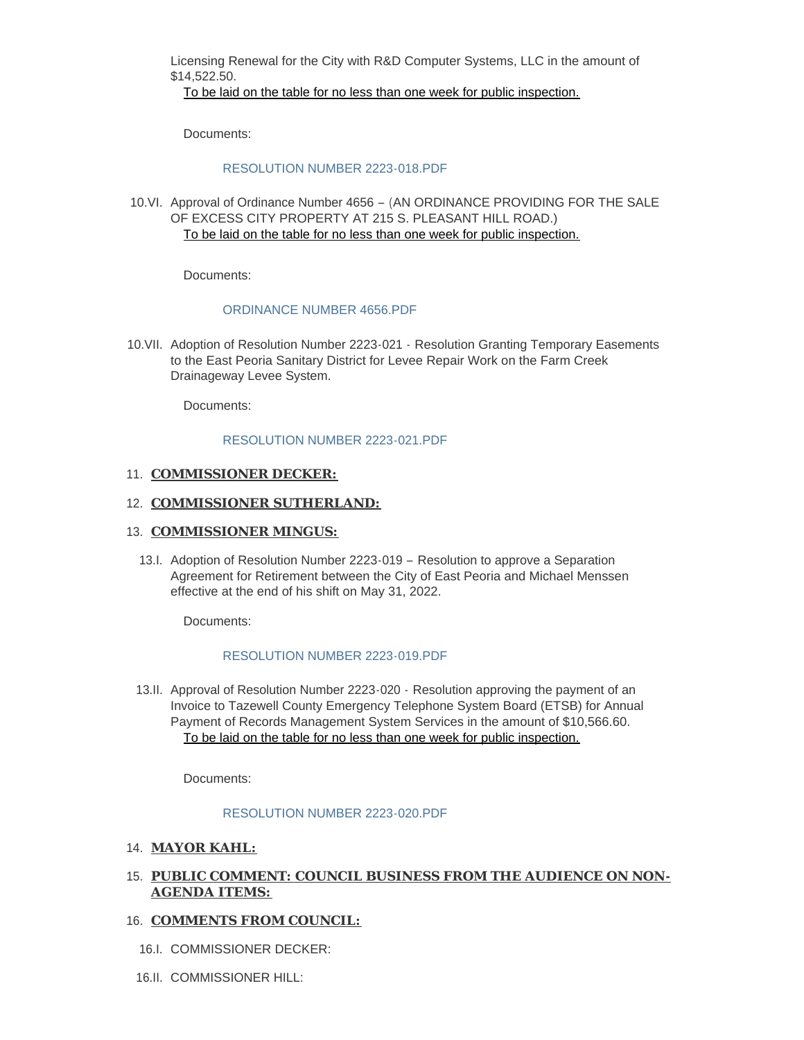Licensing Renewal for the City with R&D Computer Systems, LLC in the amount of \$14,522.50.

To be laid on the table for no less than one week for public inspection.

Documents:

#### [RESOLUTION NUMBER 2223-018.PDF](https://www.cityofeastpeoria.com/AgendaCenter/ViewFile/Item/4463?fileID=29848)

10.VI. Approval of Ordinance Number 4656 - (AN ORDINANCE PROVIDING FOR THE SALE OF EXCESS CITY PROPERTY AT 215 S. PLEASANT HILL ROAD.) To be laid on the table for no less than one week for public inspection.

Documents:

#### [ORDINANCE NUMBER 4656.PDF](https://www.cityofeastpeoria.com/AgendaCenter/ViewFile/Item/4464?fileID=29849)

10. VII. Adoption of Resolution Number 2223-021 - Resolution Granting Temporary Easements to the East Peoria Sanitary District for Levee Repair Work on the Farm Creek Drainageway Levee System.

Documents:

#### [RESOLUTION NUMBER 2223-021.PDF](https://www.cityofeastpeoria.com/AgendaCenter/ViewFile/Item/4465?fileID=29850)

### 11. **COMMISSIONER DECKER:**

#### 12. **COMMISSIONER SUTHERLAND:**

#### 13. **COMMISSIONER MINGUS:**

13.I. Adoption of Resolution Number 2223-019 - Resolution to approve a Separation Agreement for Retirement between the City of East Peoria and Michael Menssen effective at the end of his shift on May 31, 2022.

Documents:

#### [RESOLUTION NUMBER 2223-019.PDF](https://www.cityofeastpeoria.com/AgendaCenter/ViewFile/Item/4466?fileID=29851)

13.II. Approval of Resolution Number 2223-020 - Resolution approving the payment of an Invoice to Tazewell County Emergency Telephone System Board (ETSB) for Annual Payment of Records Management System Services in the amount of \$10,566.60. To be laid on the table for no less than one week for public inspection.

Documents:

#### [RESOLUTION NUMBER 2223-020.PDF](https://www.cityofeastpeoria.com/AgendaCenter/ViewFile/Item/4467?fileID=29852)

### **MAYOR KAHL:** 14.

## **PUBLIC COMMENT: COUNCIL BUSINESS FROM THE AUDIENCE ON NON-**15. **AGENDA ITEMS:**

#### 16. **COMMENTS FROM COUNCIL:**

- 16.I. COMMISSIONER DECKER:
- 16.II. COMMISSIONER HILL: